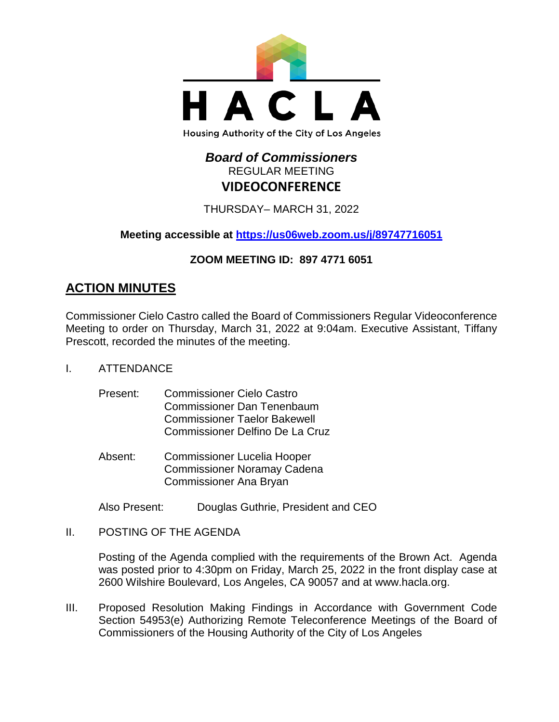

# *Board of Commissioners* REGULAR MEETING **VIDEOCONFERENCE**

THURSDAY– MARCH 31, 2022

**Meeting accessible at<https://us06web.zoom.us/j/89747716051>**

# **ZOOM MEETING ID: 897 4771 6051**

# **ACTION MINUTES**

Commissioner Cielo Castro called the Board of Commissioners Regular Videoconference Meeting to order on Thursday, March 31, 2022 at 9:04am. Executive Assistant, Tiffany Prescott, recorded the minutes of the meeting.

- I. ATTENDANCE
	- Present: Commissioner Cielo Castro Commissioner Dan Tenenbaum Commissioner Taelor Bakewell Commissioner Delfino De La Cruz
	- Absent: Commissioner Lucelia Hooper Commissioner Noramay Cadena Commissioner Ana Bryan

Also Present: Douglas Guthrie, President and CEO

II. POSTING OF THE AGENDA

Posting of the Agenda complied with the requirements of the Brown Act. Agenda was posted prior to 4:30pm on Friday, March 25, 2022 in the front display case at 2600 Wilshire Boulevard, Los Angeles, CA 90057 and at [www.hacla.org.](http://www.hacla.org/)

III. Proposed Resolution Making Findings in Accordance with Government Code Section 54953(e) Authorizing Remote Teleconference Meetings of the Board of Commissioners of the Housing Authority of the City of Los Angeles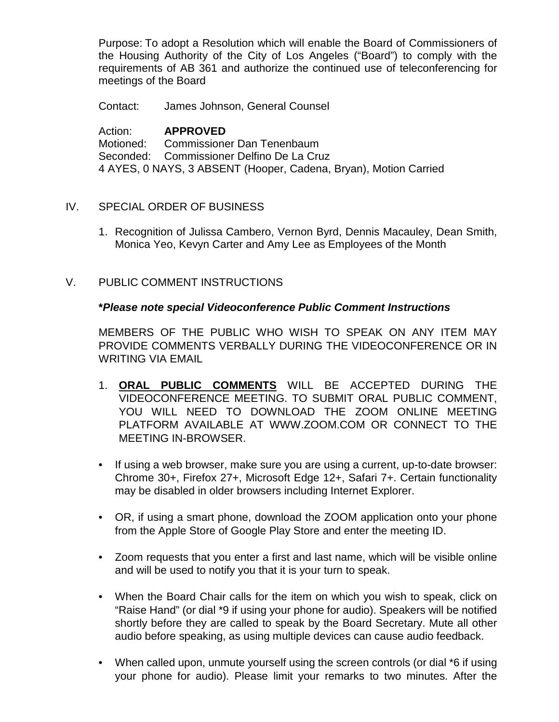Purpose: To adopt a Resolution which will enable the Board of Commissioners of the Housing Authority of the City of Los Angeles ("Board") to comply with the requirements of AB 361 and authorize the continued use of teleconferencing for meetings of the Board

Contact: James Johnson, General Counsel

Action: **APPROVED** Motioned: Commissioner Dan Tenenbaum Seconded: Commissioner Delfino De La Cruz 4 AYES, 0 NAYS, 3 ABSENT (Hooper, Cadena, Bryan), Motion Carried

# IV. SPECIAL ORDER OF BUSINESS

- 1. Recognition of Julissa Cambero, Vernon Byrd, Dennis Macauley, Dean Smith, Monica Yeo, Kevyn Carter and Amy Lee as Employees of the Month
- V. PUBLIC COMMENT INSTRUCTIONS

# **\****Please note special Videoconference Public Comment Instructions*

MEMBERS OF THE PUBLIC WHO WISH TO SPEAK ON ANY ITEM MAY PROVIDE COMMENTS VERBALLY DURING THE VIDEOCONFERENCE OR IN WRITING VIA EMAIL

- 1. **ORAL PUBLIC COMMENTS** WILL BE ACCEPTED DURING THE VIDEOCONFERENCE MEETING. TO SUBMIT ORAL PUBLIC COMMENT, YOU WILL NEED TO DOWNLOAD THE ZOOM ONLINE MEETING PLATFORM AVAILABLE AT WWW.ZOOM.COM OR CONNECT TO THE MEETING IN-BROWSER.
- If using a web browser, make sure you are using a current, up-to-date browser: Chrome 30+, Firefox 27+, Microsoft Edge 12+, Safari 7+. Certain functionality may be disabled in older browsers including Internet Explorer.
- OR, if using a smart phone, download the ZOOM application onto your phone from the Apple Store of Google Play Store and enter the meeting ID.
- Zoom requests that you enter a first and last name, which will be visible online and will be used to notify you that it is your turn to speak.
- When the Board Chair calls for the item on which you wish to speak, click on "Raise Hand" (or dial \*9 if using your phone for audio). Speakers will be notified shortly before they are called to speak by the Board Secretary. Mute all other audio before speaking, as using multiple devices can cause audio feedback.
- When called upon, unmute yourself using the screen controls (or dial \*6 if using your phone for audio). Please limit your remarks to two minutes. After the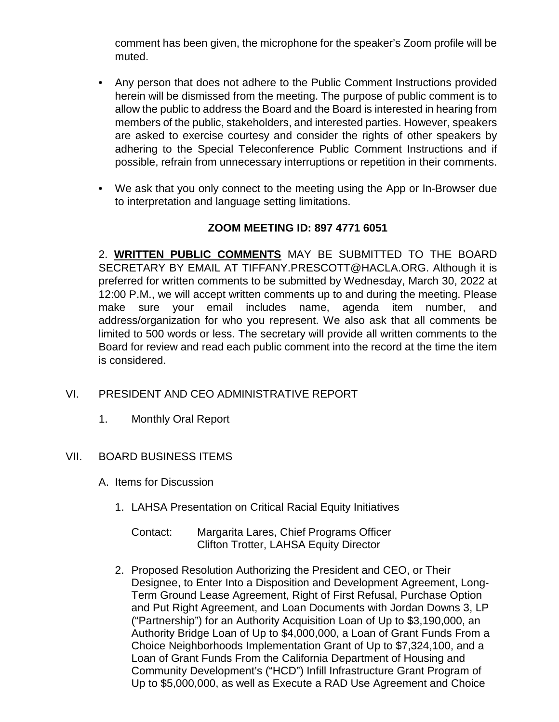comment has been given, the microphone for the speaker's Zoom profile will be muted.

- Any person that does not adhere to the Public Comment Instructions provided herein will be dismissed from the meeting. The purpose of public comment is to allow the public to address the Board and the Board is interested in hearing from members of the public, stakeholders, and interested parties. However, speakers are asked to exercise courtesy and consider the rights of other speakers by adhering to the Special Teleconference Public Comment Instructions and if possible, refrain from unnecessary interruptions or repetition in their comments.
- We ask that you only connect to the meeting using the App or In-Browser due to interpretation and language setting limitations.

# **ZOOM MEETING ID: 897 4771 6051**

2. **WRITTEN PUBLIC COMMENTS** MAY BE SUBMITTED TO THE BOARD SECRETARY BY EMAIL AT TIFFANY.PRESCOTT@HACLA.ORG. Although it is preferred for written comments to be submitted by Wednesday, March 30, 2022 at 12:00 P.M., we will accept written comments up to and during the meeting. Please make sure your email includes name, agenda item number, and address/organization for who you represent. We also ask that all comments be limited to 500 words or less. The secretary will provide all written comments to the Board for review and read each public comment into the record at the time the item is considered.

- VI. PRESIDENT AND CEO ADMINISTRATIVE REPORT
	- 1. Monthly Oral Report

# VII. BOARD BUSINESS ITEMS

- A. Items for Discussion
	- 1. LAHSA Presentation on Critical Racial Equity Initiatives
		- Contact: Margarita Lares, Chief Programs Officer Clifton Trotter, LAHSA Equity Director
	- 2. Proposed Resolution Authorizing the President and CEO, or Their Designee, to Enter Into a Disposition and Development Agreement, Long-Term Ground Lease Agreement, Right of First Refusal, Purchase Option and Put Right Agreement, and Loan Documents with Jordan Downs 3, LP ("Partnership") for an Authority Acquisition Loan of Up to \$3,190,000, an Authority Bridge Loan of Up to \$4,000,000, a Loan of Grant Funds From a Choice Neighborhoods Implementation Grant of Up to \$7,324,100, and a Loan of Grant Funds From the California Department of Housing and Community Development's ("HCD") Infill Infrastructure Grant Program of Up to \$5,000,000, as well as Execute a RAD Use Agreement and Choice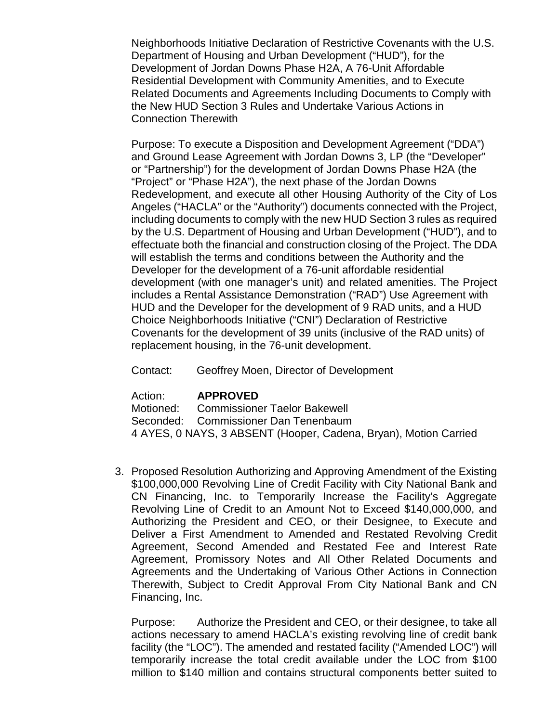Neighborhoods Initiative Declaration of Restrictive Covenants with the U.S. Department of Housing and Urban Development ("HUD"), for the Development of Jordan Downs Phase H2A, A 76-Unit Affordable Residential Development with Community Amenities, and to Execute Related Documents and Agreements Including Documents to Comply with the New HUD Section 3 Rules and Undertake Various Actions in Connection Therewith

Purpose: To execute a Disposition and Development Agreement ("DDA") and Ground Lease Agreement with Jordan Downs 3, LP (the "Developer" or "Partnership") for the development of Jordan Downs Phase H2A (the "Project" or "Phase H2A"), the next phase of the Jordan Downs Redevelopment, and execute all other Housing Authority of the City of Los Angeles ("HACLA" or the "Authority") documents connected with the Project, including documents to comply with the new HUD Section 3 rules as required by the U.S. Department of Housing and Urban Development ("HUD"), and to effectuate both the financial and construction closing of the Project. The DDA will establish the terms and conditions between the Authority and the Developer for the development of a 76-unit affordable residential development (with one manager's unit) and related amenities. The Project includes a Rental Assistance Demonstration ("RAD") Use Agreement with HUD and the Developer for the development of 9 RAD units, and a HUD Choice Neighborhoods Initiative ("CNI") Declaration of Restrictive Covenants for the development of 39 units (inclusive of the RAD units) of replacement housing, in the 76-unit development.

Contact: Geoffrey Moen, Director of Development

Action: **APPROVED**

Motioned: Commissioner Taelor Bakewell Seconded: Commissioner Dan Tenenbaum 4 AYES, 0 NAYS, 3 ABSENT (Hooper, Cadena, Bryan), Motion Carried

3. Proposed Resolution Authorizing and Approving Amendment of the Existing \$100,000,000 Revolving Line of Credit Facility with City National Bank and CN Financing, Inc. to Temporarily Increase the Facility's Aggregate Revolving Line of Credit to an Amount Not to Exceed \$140,000,000, and Authorizing the President and CEO, or their Designee, to Execute and Deliver a First Amendment to Amended and Restated Revolving Credit Agreement, Second Amended and Restated Fee and Interest Rate Agreement, Promissory Notes and All Other Related Documents and Agreements and the Undertaking of Various Other Actions in Connection Therewith, Subject to Credit Approval From City National Bank and CN Financing, Inc.

Purpose: Authorize the President and CEO, or their designee, to take all actions necessary to amend HACLA's existing revolving line of credit bank facility (the "LOC"). The amended and restated facility ("Amended LOC") will temporarily increase the total credit available under the LOC from \$100 million to \$140 million and contains structural components better suited to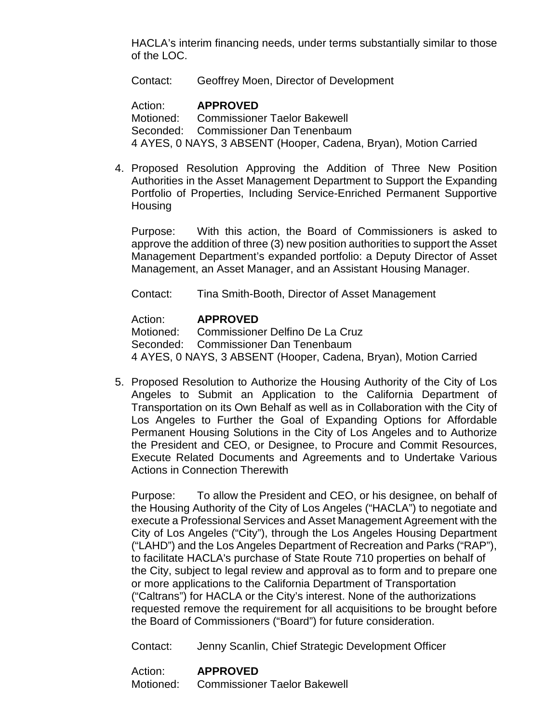HACLA's interim financing needs, under terms substantially similar to those of the LOC.

Contact: Geoffrey Moen, Director of Development

Action: **APPROVED** Motioned: Commissioner Taelor Bakewell Seconded: Commissioner Dan Tenenbaum 4 AYES, 0 NAYS, 3 ABSENT (Hooper, Cadena, Bryan), Motion Carried

4. Proposed Resolution Approving the Addition of Three New Position Authorities in the Asset Management Department to Support the Expanding Portfolio of Properties, Including Service-Enriched Permanent Supportive **Housing** 

Purpose: With this action, the Board of Commissioners is asked to approve the addition of three (3) new position authorities to support the Asset Management Department's expanded portfolio: a Deputy Director of Asset Management, an Asset Manager, and an Assistant Housing Manager.

Contact: Tina Smith-Booth, Director of Asset Management

### Action: **APPROVED**

Motioned: Commissioner Delfino De La Cruz Seconded: Commissioner Dan Tenenbaum 4 AYES, 0 NAYS, 3 ABSENT (Hooper, Cadena, Bryan), Motion Carried

5. Proposed Resolution to Authorize the Housing Authority of the City of Los Angeles to Submit an Application to the California Department of Transportation on its Own Behalf as well as in Collaboration with the City of Los Angeles to Further the Goal of Expanding Options for Affordable Permanent Housing Solutions in the City of Los Angeles and to Authorize the President and CEO, or Designee, to Procure and Commit Resources, Execute Related Documents and Agreements and to Undertake Various Actions in Connection Therewith

Purpose: To allow the President and CEO, or his designee, on behalf of the Housing Authority of the City of Los Angeles ("HACLA") to negotiate and execute a Professional Services and Asset Management Agreement with the City of Los Angeles ("City"), through the Los Angeles Housing Department ("LAHD") and the Los Angeles Department of Recreation and Parks ("RAP"), to facilitate HACLA's purchase of State Route 710 properties on behalf of the City, subject to legal review and approval as to form and to prepare one or more applications to the California Department of Transportation ("Caltrans") for HACLA or the City's interest. None of the authorizations requested remove the requirement for all acquisitions to be brought before the Board of Commissioners ("Board") for future consideration.

Contact: Jenny Scanlin, Chief Strategic Development Officer

| Action:   | <b>APPROVED</b>                     |
|-----------|-------------------------------------|
| Motioned: | <b>Commissioner Taelor Bakewell</b> |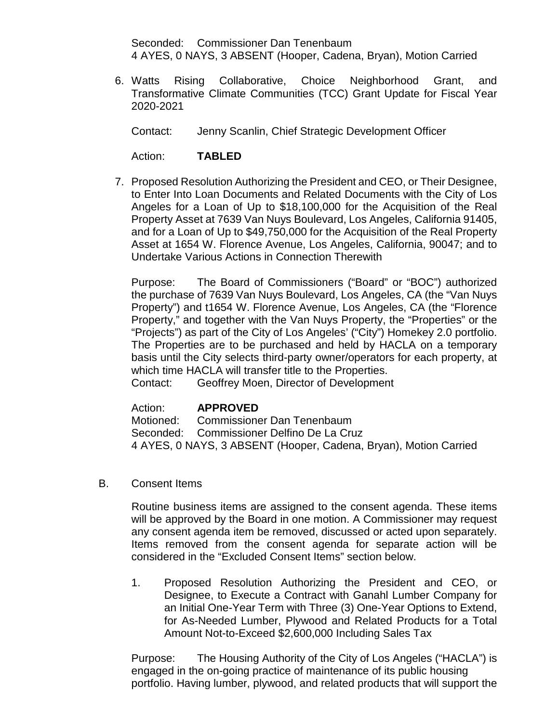Seconded: Commissioner Dan Tenenbaum 4 AYES, 0 NAYS, 3 ABSENT (Hooper, Cadena, Bryan), Motion Carried

6. Watts Rising Collaborative, Choice Neighborhood Grant, and Transformative Climate Communities (TCC) Grant Update for Fiscal Year 2020-2021

Contact: Jenny Scanlin, Chief Strategic Development Officer

Action: **TABLED**

7. Proposed Resolution Authorizing the President and CEO, or Their Designee, to Enter Into Loan Documents and Related Documents with the City of Los Angeles for a Loan of Up to \$18,100,000 for the Acquisition of the Real Property Asset at 7639 Van Nuys Boulevard, Los Angeles, California 91405, and for a Loan of Up to \$49,750,000 for the Acquisition of the Real Property Asset at 1654 W. Florence Avenue, Los Angeles, California, 90047; and to Undertake Various Actions in Connection Therewith

Purpose: The Board of Commissioners ("Board" or "BOC") authorized the purchase of 7639 Van Nuys Boulevard, Los Angeles, CA (the "Van Nuys Property") and t1654 W. Florence Avenue, Los Angeles, CA (the "Florence Property," and together with the Van Nuys Property, the "Properties" or the "Projects") as part of the City of Los Angeles' ("City") Homekey 2.0 portfolio. The Properties are to be purchased and held by HACLA on a temporary basis until the City selects third-party owner/operators for each property, at which time HACLA will transfer title to the Properties.

Contact: Geoffrey Moen, Director of Development

# Action: **APPROVED**

Motioned: Commissioner Dan Tenenbaum Seconded: Commissioner Delfino De La Cruz 4 AYES, 0 NAYS, 3 ABSENT (Hooper, Cadena, Bryan), Motion Carried

B. Consent Items

Routine business items are assigned to the consent agenda. These items will be approved by the Board in one motion. A Commissioner may request any consent agenda item be removed, discussed or acted upon separately. Items removed from the consent agenda for separate action will be considered in the "Excluded Consent Items" section below.

1. Proposed Resolution Authorizing the President and CEO, or Designee, to Execute a Contract with Ganahl Lumber Company for an Initial One-Year Term with Three (3) One-Year Options to Extend, for As-Needed Lumber, Plywood and Related Products for a Total Amount Not-to-Exceed \$2,600,000 Including Sales Tax

Purpose: The Housing Authority of the City of Los Angeles ("HACLA") is engaged in the on-going practice of maintenance of its public housing portfolio. Having lumber, plywood, and related products that will support the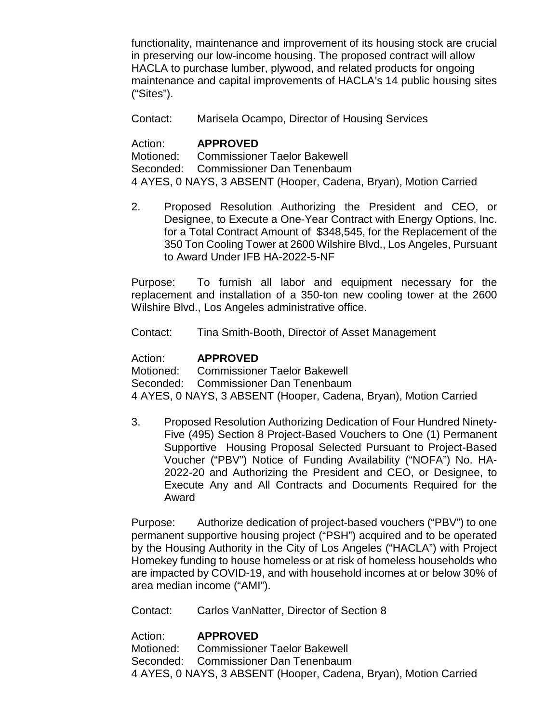functionality, maintenance and improvement of its housing stock are crucial in preserving our low-income housing. The proposed contract will allow HACLA to purchase lumber, plywood, and related products for ongoing maintenance and capital improvements of HACLA's 14 public housing sites ("Sites").

Contact: Marisela Ocampo, Director of Housing Services

Action: **APPROVED**<br>Motioned: Commissione Commissioner Taelor Bakewell Seconded: Commissioner Dan Tenenbaum 4 AYES, 0 NAYS, 3 ABSENT (Hooper, Cadena, Bryan), Motion Carried

2. Proposed Resolution Authorizing the President and CEO, or Designee, to Execute a One-Year Contract with Energy Options, Inc. for a Total Contract Amount of \$348,545, for the Replacement of the 350 Ton Cooling Tower at 2600 Wilshire Blvd., Los Angeles, Pursuant to Award Under IFB HA-2022-5-NF

Purpose: To furnish all labor and equipment necessary for the replacement and installation of a 350-ton new cooling tower at the 2600 Wilshire Blvd., Los Angeles administrative office.

Contact: Tina Smith-Booth, Director of Asset Management

Action: **APPROVED**<br>Motioned: Commissione Commissioner Taelor Bakewell Seconded: Commissioner Dan Tenenbaum 4 AYES, 0 NAYS, 3 ABSENT (Hooper, Cadena, Bryan), Motion Carried

3. Proposed Resolution Authorizing Dedication of Four Hundred Ninety-Five (495) Section 8 Project-Based Vouchers to One (1) Permanent Supportive Housing Proposal Selected Pursuant to Project-Based Voucher ("PBV") Notice of Funding Availability ("NOFA") No. HA-2022-20 and Authorizing the President and CEO, or Designee, to Execute Any and All Contracts and Documents Required for the Award

Purpose: Authorize dedication of project-based vouchers ("PBV") to one permanent supportive housing project ("PSH") acquired and to be operated by the Housing Authority in the City of Los Angeles ("HACLA") with Project Homekey funding to house homeless or at risk of homeless households who are impacted by COVID-19, and with household incomes at or below 30% of area median income ("AMI").

Contact: Carlos VanNatter, Director of Section 8

Action: **APPROVED**

Motioned: Commissioner Taelor Bakewell Seconded: Commissioner Dan Tenenbaum 4 AYES, 0 NAYS, 3 ABSENT (Hooper, Cadena, Bryan), Motion Carried